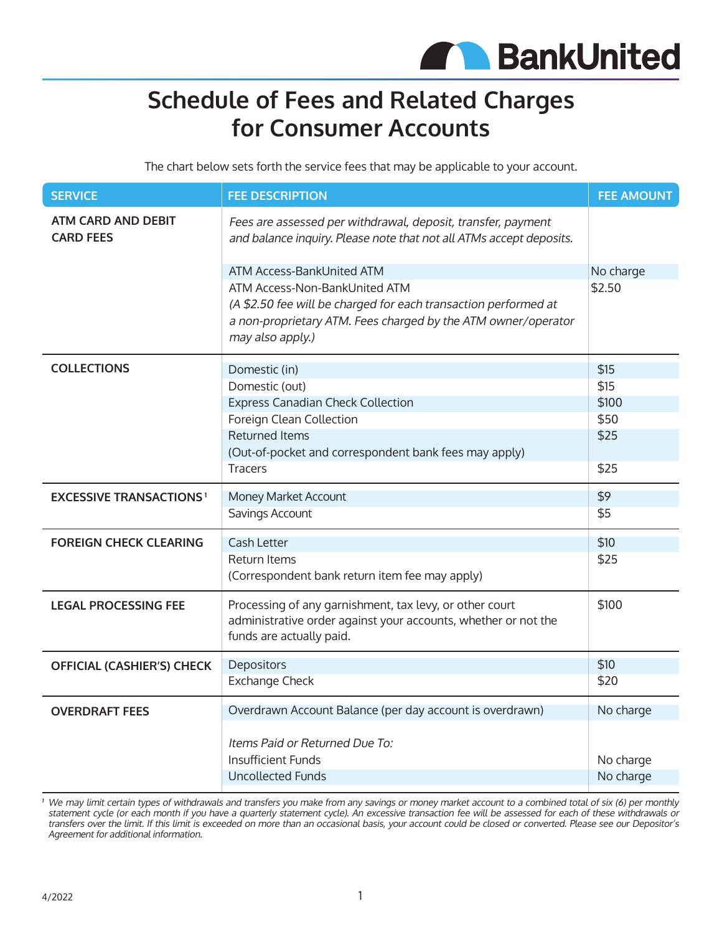

## **Schedule of Fees and Related Charges for Consumer Accounts**

The chart below sets forth the service fees that may be applicable to your account.

| <b>SERVICE</b>                                | <b>FEE DESCRIPTION</b>                                                                                                                                                                | <b>FEE AMOUNT</b> |
|-----------------------------------------------|---------------------------------------------------------------------------------------------------------------------------------------------------------------------------------------|-------------------|
| <b>ATM CARD AND DEBIT</b><br><b>CARD FEES</b> | Fees are assessed per withdrawal, deposit, transfer, payment<br>and balance inquiry. Please note that not all ATMs accept deposits.                                                   |                   |
|                                               | ATM Access-BankUnited ATM                                                                                                                                                             | No charge         |
|                                               | ATM Access-Non-BankUnited ATM<br>(A \$2.50 fee will be charged for each transaction performed at<br>a non-proprietary ATM. Fees charged by the ATM owner/operator<br>may also apply.) | \$2.50            |
| <b>COLLECTIONS</b>                            | Domestic (in)                                                                                                                                                                         | \$15              |
|                                               | Domestic (out)                                                                                                                                                                        | \$15              |
|                                               | <b>Express Canadian Check Collection</b>                                                                                                                                              | \$100             |
|                                               | Foreign Clean Collection                                                                                                                                                              | \$50              |
|                                               | <b>Returned Items</b>                                                                                                                                                                 | \$25              |
|                                               | (Out-of-pocket and correspondent bank fees may apply)                                                                                                                                 |                   |
|                                               | <b>Tracers</b>                                                                                                                                                                        | \$25              |
| <b>EXCESSIVE TRANSACTIONS<sup>1</sup></b>     | Money Market Account                                                                                                                                                                  | \$9               |
|                                               | Savings Account                                                                                                                                                                       | \$5               |
| <b>FOREIGN CHECK CLEARING</b>                 | <b>Cash Letter</b>                                                                                                                                                                    | \$10              |
|                                               | <b>Return Items</b>                                                                                                                                                                   | \$25              |
|                                               | (Correspondent bank return item fee may apply)                                                                                                                                        |                   |
| <b>LEGAL PROCESSING FEE</b>                   | Processing of any garnishment, tax levy, or other court<br>administrative order against your accounts, whether or not the<br>funds are actually paid.                                 | \$100             |
| <b>OFFICIAL (CASHIER'S) CHECK</b>             | Depositors                                                                                                                                                                            | \$10              |
|                                               | <b>Exchange Check</b>                                                                                                                                                                 | \$20              |
| <b>OVERDRAFT FEES</b>                         | Overdrawn Account Balance (per day account is overdrawn)                                                                                                                              | No charge         |
|                                               | Items Paid or Returned Due To:<br><b>Insufficient Funds</b>                                                                                                                           | No charge         |
|                                               | <b>Uncollected Funds</b>                                                                                                                                                              | No charge         |
|                                               |                                                                                                                                                                                       |                   |

**<sup>1</sup>** We may limit certain types of withdrawals and transfers you make from any savings or money market account to a combined total of six (6) per monthly statement cycle (or each month if you have a quarterly statement cycle). An excessive transaction fee will be assessed for each of these withdrawals or transfers over the limit. If this limit is exceeded on more than an occasional basis, your account could be closed or converted. Please see our Depositor's Agreement for additional information.